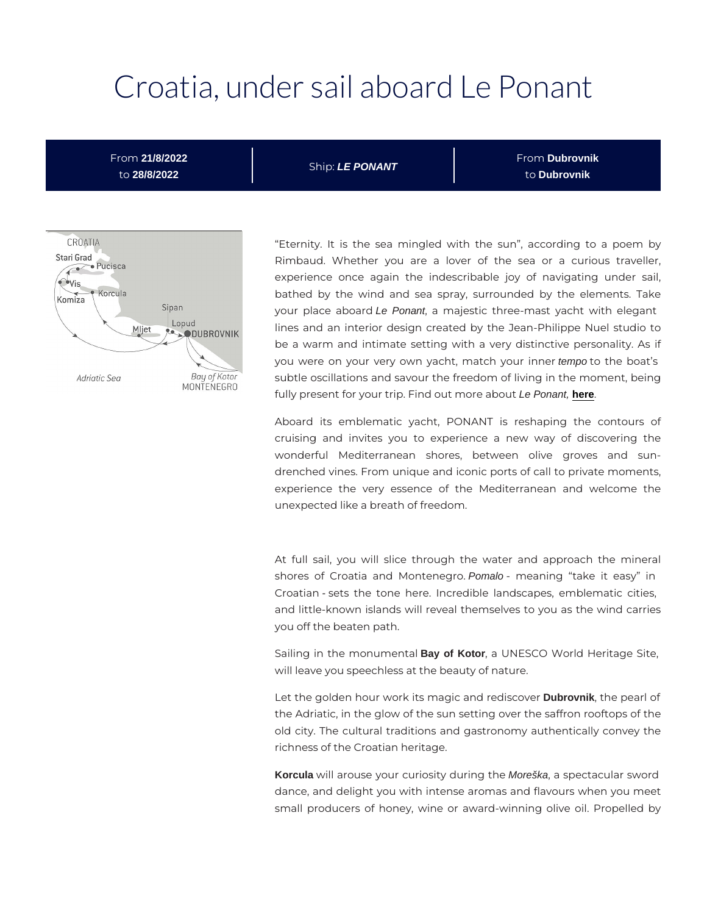# Croatia, under sail aboard

From 21/8/2022 to 28/8/2022 ShipLE PONANT F r o nDubrovnik t oDubrovnik

> Eternity. It is the sea mingled with the sun, accor Rimbaud. Whether you are a lover of the sea or experience once again the indescribable joy of navi bathed by the wind and sea spray, surrounded by th your place abeoPeondnt, a majestic three-mast yacht with lines and an interior design created by the Jean-Philip be a warm and intimate setting with a very distinctive you were on your very own yacht, mteantpachtcyotuhre ibloat s subtle oscillations and savour the freedom of living in th fully present for your trip. Find de Pomeont, [here](https://en.ponant.com/le-ponant) bout

> Aboard its emblematic yacht, PONANT is reshaping cruising and invites you to experience a new way wonderful Mediterranean shores, between olive drenched vines. From unique and iconic ports of call to p experience the very essence of the Mediterranean a unexpected like a breath of freedom.

> At full sail, you will slice through the water and ap shores of Croatia and MPonnalonenegmeaning take it easy Croatianets the tone here. Incredible landscapes, emb and little-known islands will reveal themselves to you as you off the beaten path.

> Sailing in the mon Bay oon Kator, a UNESCO World Heritage will leave you speechless at the beauty of nature.

> Let the golden hour work its magic Dubrobvmike distoley pearl of the Adriatic, in the glow of the sun setting over the saffr old city. The cultural traditions and gastronomy authent richness of the Croatian heritage.

> Korcula will arouse your curiosityMode.škangatheectacular sword dance, and delight you with intense aromas and flavours small producers of honey, wine or award-winning olive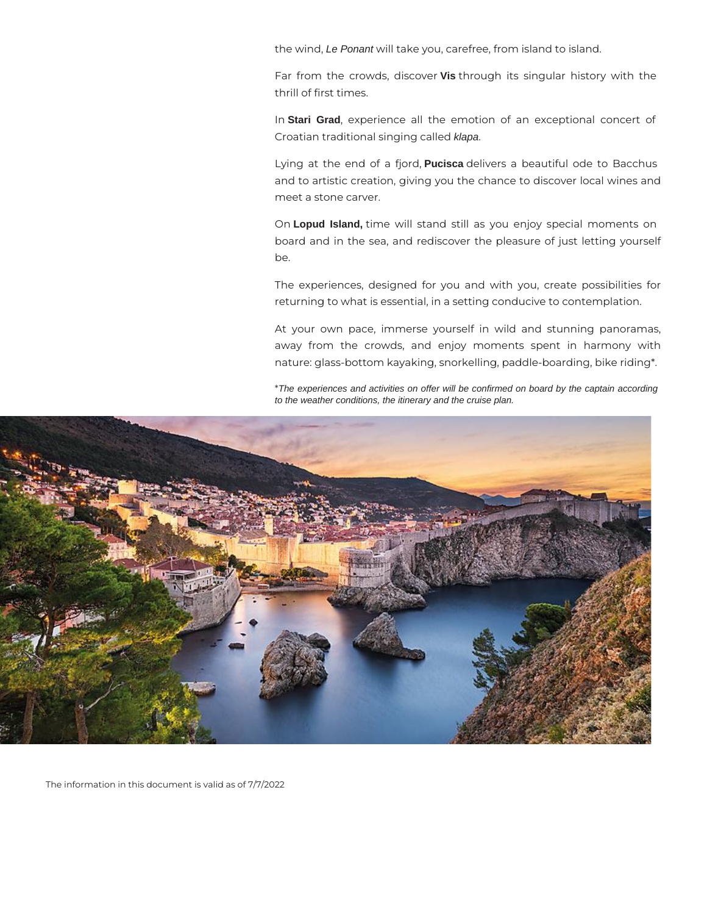the wind, Le Ponant will take you, carefree, from island to island.

Far from the crowds, discover **Vis** through its singular history with the thrill of first times.

In **Stari Grad**, experience all the emotion of an exceptional concert of Croatian traditional singing called klapa.

Lying at the end of a fjord, **Pucisca** delivers a beautiful ode to Bacchus and to artistic creation, giving you the chance to discover local wines and meet a stone carver.

On **Lopud Island,** time will stand still as you enjoy special moments on board and in the sea, and rediscover the pleasure of just letting yourself be.

The experiences, designed for you and with you, create possibilities for returning to what is essential, in a setting conducive to contemplation.

At your own pace, immerse yourself in wild and stunning panoramas, away from the crowds, and enjoy moments spent in harmony with nature: glass-bottom kayaking, snorkelling, paddle-boarding, bike riding\*.

\*The experiences and activities on offer will be confirmed on board by the captain according to the weather conditions, the itinerary and the cruise plan.



The information in this document is valid as of 7/7/2022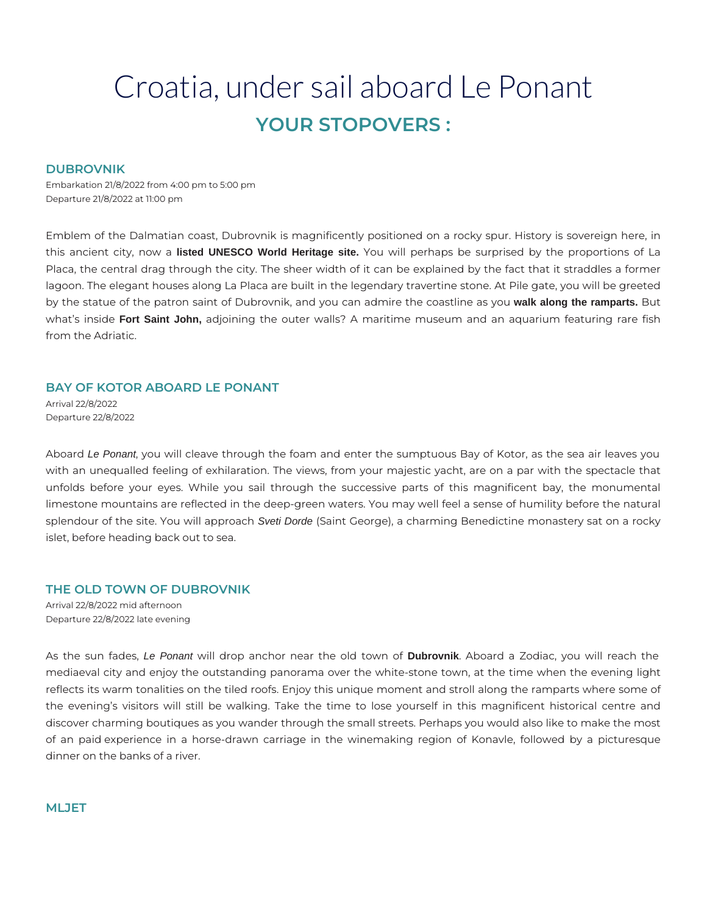## Croatia, under sail aboard Le Ponant **YOUR STOPOVERS :**

#### **DUBROVNIK**

Embarkation 21/8/2022 from 4:00 pm to 5:00 pm Departure 21/8/2022 at 11:00 pm

Emblem of the Dalmatian coast, Dubrovnik is magnificently positioned on a rocky spur. History is sovereign here, in this ancient city, now a **listed UNESCO World Heritage site.** You will perhaps be surprised by the proportions of La Placa, the central drag through the city. The sheer width of it can be explained by the fact that it straddles a former lagoon. The elegant houses along La Placa are built in the legendary travertine stone. At Pile gate, you will be greeted by the statue of the patron saint of Dubrovnik, and you can admire the coastline as you **walk along the ramparts.** But what's inside **Fort Saint John,** adjoining the outer walls? A maritime museum and an aquarium featuring rare fish from the Adriatic.

#### **BAY OF KOTOR ABOARD LE PONANT**

Arrival 22/8/2022 Departure 22/8/2022

Aboard Le Ponant, you will cleave through the foam and enter the sumptuous Bay of Kotor, as the sea air leaves you with an unequalled feeling of exhilaration. The views, from your majestic yacht, are on a par with the spectacle that unfolds before your eyes. While you sail through the successive parts of this magnificent bay, the monumental limestone mountains are reflected in the deep-green waters. You may well feel a sense of humility before the natural splendour of the site. You will approach Sveti Dorde (Saint George), a charming Benedictine monastery sat on a rocky islet, before heading back out to sea.

#### **THE OLD TOWN OF DUBROVNIK**

Arrival 22/8/2022 mid afternoon Departure 22/8/2022 late evening

As the sun fades, Le Ponant will drop anchor near the old town of **Dubrovnik**. Aboard a Zodiac, you will reach the mediaeval city and enjoy the outstanding panorama over the white-stone town, at the time when the evening light reflects its warm tonalities on the tiled roofs. Enjoy this unique moment and stroll along the ramparts where some of the evening's visitors will still be walking. Take the time to lose yourself in this magnificent historical centre and discover charming boutiques as you wander through the small streets. Perhaps you would also like to make the most of an paid experience in a horse-drawn carriage in the winemaking region of Konavle, followed by a picturesque dinner on the banks of a river.

#### **MLJET**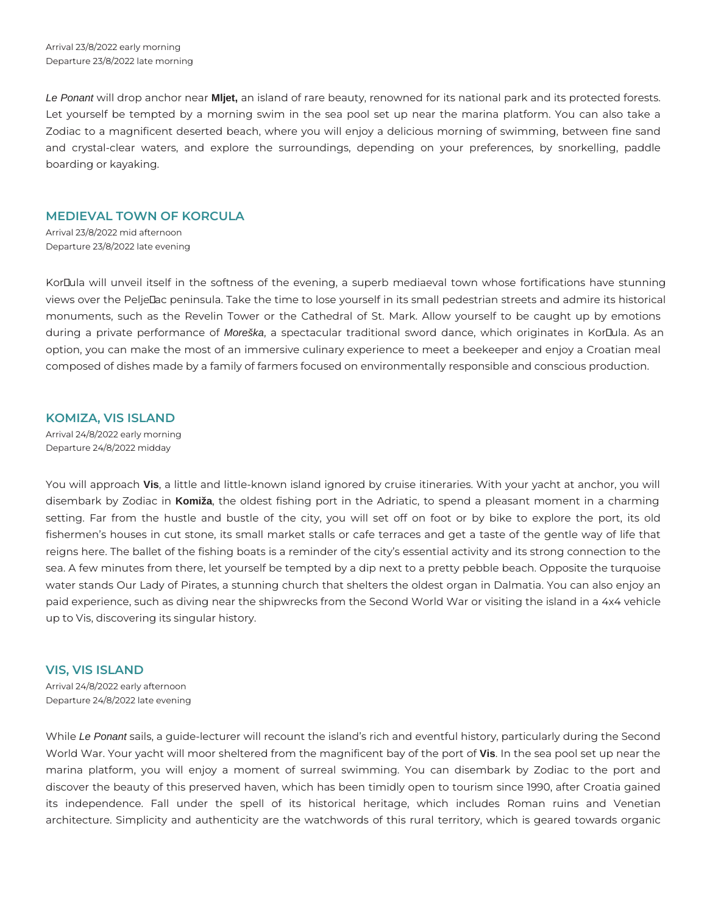Le Ponant will drop anchor near **Mljet,** an island of rare beauty, renowned for its national park and its protected forests. Let yourself be tempted by a morning swim in the sea pool set up near the marina platform. You can also take a Zodiac to a magnificent deserted beach, where you will enjoy a delicious morning of swimming, between fine sand and crystal-clear waters, and explore the surroundings, depending on your preferences, by snorkelling, paddle boarding or kayaking.

#### **MEDIEVAL TOWN OF KORCULA**

Arrival 23/8/2022 mid afternoon Departure 23/8/2022 late evening

KorDula will unveil itself in the softness of the evening, a superb mediaeval town whose fortifications have stunning views over the Peljellac peninsula. Take the time to lose yourself in its small pedestrian streets and admire its historical monuments, such as the Revelin Tower or the Cathedral of St. Mark. Allow yourself to be caught up by emotions during a private performance of Moreška, a spectacular traditional sword dance, which originates in KorDula. As an option, you can make the most of an immersive culinary experience to meet a beekeeper and enjoy a Croatian meal composed of dishes made by a family of farmers focused on environmentally responsible and conscious production.

### **KOMIZA, VIS ISLAND**

Arrival 24/8/2022 early morning Departure 24/8/2022 midday

You will approach **Vis**, a little and little-known island ignored by cruise itineraries. With your yacht at anchor, you will disembark by Zodiac in **Komiža**, the oldest fishing port in the Adriatic, to spend a pleasant moment in a charming setting. Far from the hustle and bustle of the city, you will set off on foot or by bike to explore the port, its old fishermen's houses in cut stone, its small market stalls or cafe terraces and get a taste of the gentle way of life that reigns here. The ballet of the fishing boats is a reminder of the city's essential activity and its strong connection to the sea. A few minutes from there, let yourself be tempted by a dip next to a pretty pebble beach. Opposite the turquoise water stands Our Lady of Pirates, a stunning church that shelters the oldest organ in Dalmatia. You can also enjoy an paid experience, such as diving near the shipwrecks from the Second World War or visiting the island in a 4x4 vehicle up to Vis, discovering its singular history.

#### **VIS, VIS ISLAND**

Arrival 24/8/2022 early afternoon Departure 24/8/2022 late evening

While Le Ponant sails, a guide-lecturer will recount the island's rich and eventful history, particularly during the Second World War. Your yacht will moor sheltered from the magnificent bay of the port of **Vis**. In the sea pool set up near the marina platform, you will enjoy a moment of surreal swimming. You can disembark by Zodiac to the port and discover the beauty of this preserved haven, which has been timidly open to tourism since 1990, after Croatia gained its independence. Fall under the spell of its historical heritage, which includes Roman ruins and Venetian architecture. Simplicity and authenticity are the watchwords of this rural territory, which is geared towards organic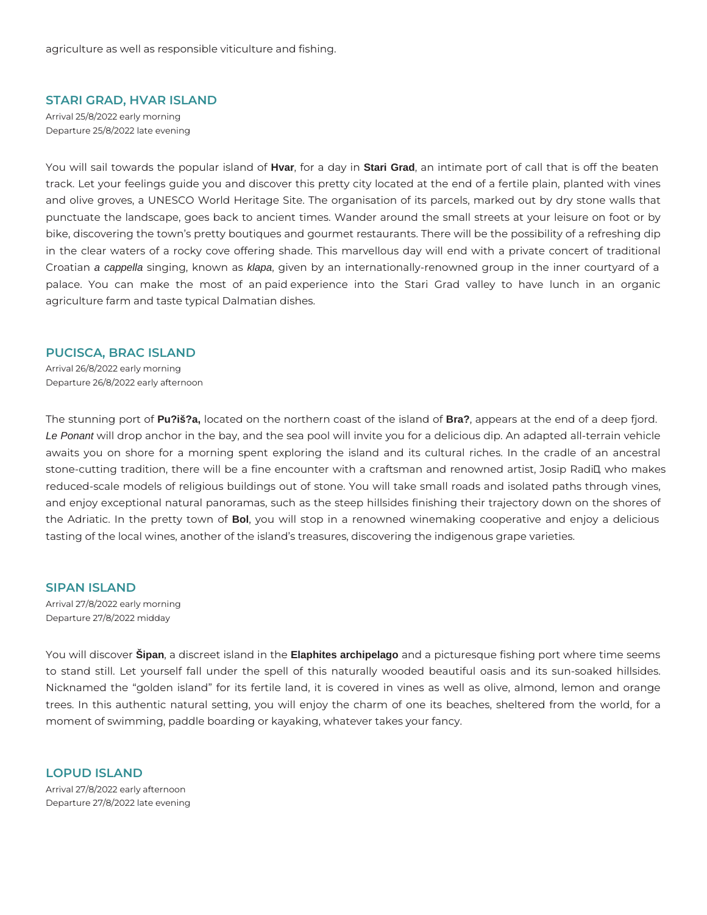#### **STARI GRAD, HVAR ISLAND**

Arrival 25/8/2022 early morning Departure 25/8/2022 late evening

You will sail towards the popular island of **Hvar**, for a day in **Stari Grad**, an intimate port of call that is off the beaten track. Let your feelings guide you and discover this pretty city located at the end of a fertile plain, planted with vines and olive groves, a UNESCO World Heritage Site. The organisation of its parcels, marked out by dry stone walls that punctuate the landscape, goes back to ancient times. Wander around the small streets at your leisure on foot or by bike, discovering the town's pretty boutiques and gourmet restaurants. There will be the possibility of a refreshing dip in the clear waters of a rocky cove offering shade. This marvellous day will end with a private concert of traditional Croatian a cappella singing, known as klapa, given by an internationally-renowned group in the inner courtyard of a palace. You can make the most of an paid experience into the Stari Grad valley to have lunch in an organic agriculture farm and taste typical Dalmatian dishes.

#### **PUCISCA, BRAC ISLAND**

Arrival 26/8/2022 early morning Departure 26/8/2022 early afternoon

The stunning port of **Pu?iš?a,** located on the northern coast of the island of **Bra?**, appears at the end of a deep fjord. Le Ponant will drop anchor in the bay, and the sea pool will invite you for a delicious dip. An adapted all-terrain vehicle awaits you on shore for a morning spent exploring the island and its cultural riches. In the cradle of an ancestral stone-cutting tradition, there will be a fine encounter with a craftsman and renowned artist, Josip Radil, who makes reduced-scale models of religious buildings out of stone. You will take small roads and isolated paths through vines, and enjoy exceptional natural panoramas, such as the steep hillsides finishing their trajectory down on the shores of the Adriatic. In the pretty town of **Bol**, you will stop in a renowned winemaking cooperative and enjoy a delicious tasting of the local wines, another of the island's treasures, discovering the indigenous grape varieties.

**SIPAN ISLAND**  Arrival 27/8/2022 early morning Departure 27/8/2022 midday

You will discover **Šipan**, a discreet island in the **Elaphites archipelago** and a picturesque fishing port where time seems to stand still. Let yourself fall under the spell of this naturally wooded beautiful oasis and its sun-soaked hillsides. Nicknamed the "golden island" for its fertile land, it is covered in vines as well as olive, almond, lemon and orange trees. In this authentic natural setting, you will enjoy the charm of one its beaches, sheltered from the world, for a moment of swimming, paddle boarding or kayaking, whatever takes your fancy.

**LOPUD ISLAND**  Arrival 27/8/2022 early afternoon Departure 27/8/2022 late evening